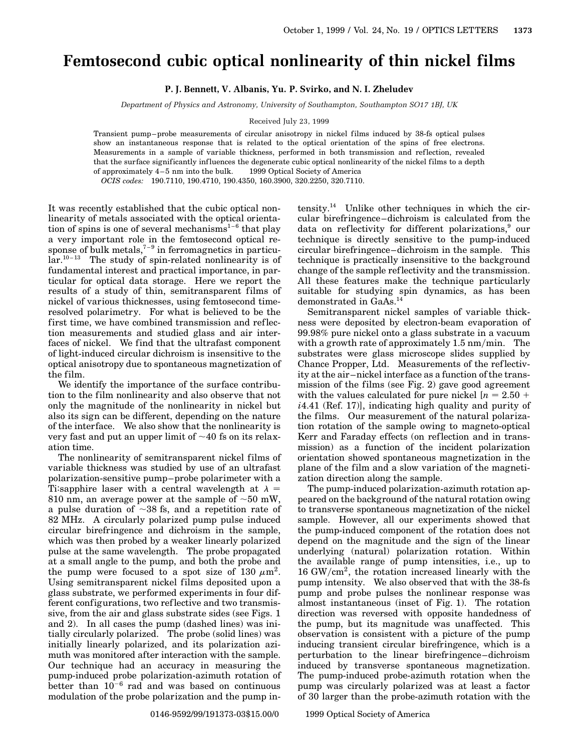## **Femtosecond cubic optical nonlinearity of thin nickel films**

**P. J. Bennett, V. Albanis, Yu. P. Svirko, and N. I. Zheludev**

*Department of Physics and Astronomy, University of Southampton, Southampton SO17 1BJ, UK*

Received July 23, 1999

Transient pump–probe measurements of circular anisotropy in nickel films induced by 38-fs optical pulses show an instantaneous response that is related to the optical orientation of the spins of free electrons. Measurements in a sample of variable thickness, performed in both transmission and reflection, revealed that the surface significantly influences the degenerate cubic optical nonlinearity of the nickel films to a depth of approximately  $4-5$  nm into the bulk.  $\;\;\otimes$  1999 Optical Society of America

*OCIS codes:* 190.7110, 190.4710, 190.4350, 160.3900, 320.2250, 320.7110.

It was recently established that the cubic optical nonlinearity of metals associated with the optical orientation of spins is one of several mechanisms<sup>1-6</sup> that play a very important role in the femtosecond optical response of bulk metals,<sup> $7-9$ </sup> in ferromagnetics in particu- $\ar{.}^{10-13}$  The study of spin-related nonlinearity is of fundamental interest and practical importance, in particular for optical data storage. Here we report the results of a study of thin, semitransparent films of nickel of various thicknesses, using femtosecond timeresolved polarimetry. For what is believed to be the first time, we have combined transmission and reflection measurements and studied glass and air interfaces of nickel. We find that the ultrafast component of light-induced circular dichroism is insensitive to the optical anisotropy due to spontaneous magnetization of the film.

We identify the importance of the surface contribution to the film nonlinearity and also observe that not only the magnitude of the nonlinearity in nickel but also its sign can be different, depending on the nature of the interface. We also show that the nonlinearity is very fast and put an upper limit of  $\sim$ 40 fs on its relaxation time.

The nonlinearity of semitransparent nickel films of variable thickness was studied by use of an ultrafast polarization-sensitive pump–probe polarimeter with a Ti:sapphire laser with a central wavelength at  $\lambda =$ 810 nm, an average power at the sample of  $\sim$  50 mW, a pulse duration of  $\sim 38$  fs, and a repetition rate of 82 MHz. A circularly polarized pump pulse induced circular birefringence and dichroism in the sample, which was then probed by a weaker linearly polarized pulse at the same wavelength. The probe propagated at a small angle to the pump, and both the probe and the pump were focused to a spot size of 130  $\mu$ m<sup>2</sup>. Using semitransparent nickel films deposited upon a glass substrate, we performed experiments in four different configurations, two ref lective and two transmissive, from the air and glass substrate sides (see Figs. 1 and 2). In all cases the pump (dashed lines) was initially circularly polarized. The probe (solid lines) was initially linearly polarized, and its polarization azimuth was monitored after interaction with the sample. Our technique had an accuracy in measuring the pump-induced probe polarization-azimuth rotation of better than  $10^{-6}$  rad and was based on continuous modulation of the probe polarization and the pump intensity.<sup>14</sup> Unlike other techniques in which the circular birefringence–dichroism is calculated from the data on reflectivity for different polarizations,<sup>9</sup> our technique is directly sensitive to the pump-induced circular birefringence–dichroism in the sample. This technique is practically insensitive to the background change of the sample reflectivity and the transmission. All these features make the technique particularly suitable for studying spin dynamics, as has been demonstrated in GaAs.<sup>1</sup>

Semitransparent nickel samples of variable thickness were deposited by electron-beam evaporation of 99.98% pure nickel onto a glass substrate in a vacuum with a growth rate of approximately 1.5 nm/min. The substrates were glass microscope slides supplied by Chance Propper, Ltd. Measurements of the ref lectivity at the air–nickel interface as a function of the transmission of the films (see Fig. 2) gave good agreement with the values calculated for pure nickel  $[n = 2.50 +$ *i*4.41 (Ref. 17)], indicating high quality and purity of the films. Our measurement of the natural polarization rotation of the sample owing to magneto-optical Kerr and Faraday effects (on reflection and in transmission) as a function of the incident polarization orientation showed spontaneous magnetization in the plane of the film and a slow variation of the magnetization direction along the sample.

The pump-induced polarization-azimuth rotation appeared on the background of the natural rotation owing to transverse spontaneous magnetization of the nickel sample. However, all our experiments showed that the pump-induced component of the rotation does not depend on the magnitude and the sign of the linear underlying (natural) polarization rotation. Within the available range of pump intensities, i.e., up to  $16$  GW/ $\rm cm^2$ , the rotation increased linearly with the pump intensity. We also observed that with the 38-fs pump and probe pulses the nonlinear response was almost instantaneous (inset of Fig. 1). The rotation direction was reversed with opposite handedness of the pump, but its magnitude was unaffected. This observation is consistent with a picture of the pump inducing transient circular birefringence, which is a perturbation to the linear birefringence–dichroism induced by transverse spontaneous magnetization. The pump-induced probe-azimuth rotation when the pump was circularly polarized was at least a factor of 30 larger than the probe-azimuth rotation with the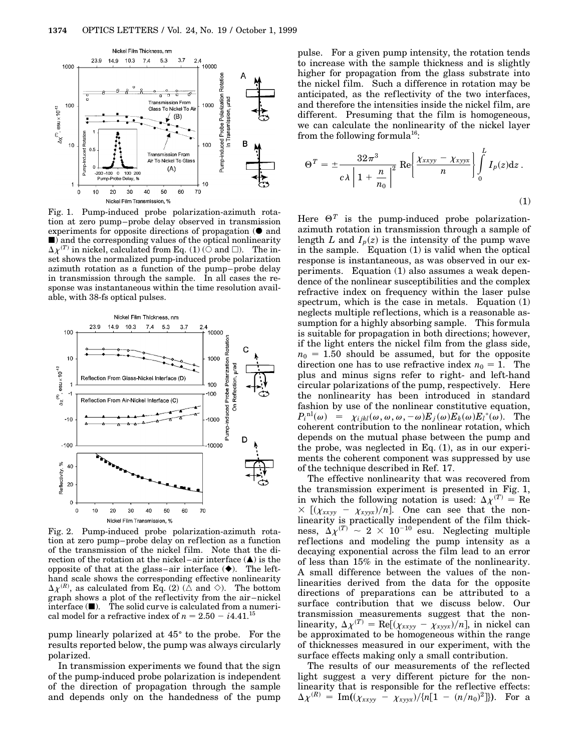

Fig. 1. Pump-induced probe polarization-azimuth rotation at zero pump–probe delay observed in transmission experiments for opposite directions of propagation  $\Theta$  and  $\blacksquare$ ) and the corresponding values of the optical nonlinearity  $\Delta \chi^{(T)}$  in nickel, calculated from Eq. (1) ( $\circ$  and  $\Box$ ). The inset shows the normalized pump-induced probe polarization azimuth rotation as a function of the pump–probe delay in transmission through the sample. In all cases the response was instantaneous within the time resolution available, with 38-fs optical pulses.



Fig. 2. Pump-induced probe polarization-azimuth rotation at zero pump–probe delay on reflection as a function of the transmission of the nickel film. Note that the direction of the rotation at the nickel–air interface  $(\triangle)$  is the opposite of that at the glass–air interface  $(\blacklozenge)$ . The lefthand scale shows the corresponding effective nonlinearity  $\Delta \chi^{(R)}$ , as calculated from Eq. (2) ( $\Delta$  and  $\Diamond$ ). The bottom graph shows a plot of the ref lectivity from the air–nickel  $\text{interface}$  ( $\blacksquare$ ). The solid curve is calculated from a numerical model for a refractive index of  $n = 2.50 - i4.41$ .<sup>15</sup>

pump linearly polarized at  $45^{\circ}$  to the probe. For the results reported below, the pump was always circularly polarized.

In transmission experiments we found that the sign of the pump-induced probe polarization is independent of the direction of propagation through the sample and depends only on the handedness of the pump

pulse. For a given pump intensity, the rotation tends to increase with the sample thickness and is slightly higher for propagation from the glass substrate into the nickel film. Such a difference in rotation may be anticipated, as the reflectivity of the two interfaces, and therefore the intensities inside the nickel film, are different. Presuming that the film is homogeneous, we can calculate the nonlinearity of the nickel layer from the following formula<sup>16</sup>:

$$
\Theta^{T} = \pm \frac{32\pi^{3}}{c\lambda \left| 1 + \frac{n}{n_{0}} \right|^{2}} \operatorname{Re} \left\{ \frac{\chi_{xxyy} - \chi_{xyyx}}{n} \right\} \int_{0}^{L} I_{p}(z) \mathrm{d} z \,.
$$
\n(1)

Here  $\Theta^T$  is the pump-induced probe polarizationazimuth rotation in transmission through a sample of length *L* and  $I_p(z)$  is the intensity of the pump wave in the sample. Equation (1) is valid when the optical response is instantaneous, as was observed in our experiments. Equation (1) also assumes a weak dependence of the nonlinear susceptibilities and the complex refractive index on frequency within the laser pulse spectrum, which is the case in metals. Equation (1) neglects multiple ref lections, which is a reasonable assumption for a highly absorbing sample. This formula is suitable for propagation in both directions; however, if the light enters the nickel film from the glass side,  $n_0 = 1.50$  should be assumed, but for the opposite direction one has to use refractive index  $n_0 = 1$ . The plus and minus signs refer to right- and left-hand circular polarizations of the pump, respectively. Here the nonlinearity has been introduced in standard fashion by use of the nonlinear constitutive equation,  $P_i^{\text{nl}}(\omega) = \chi_{ijkl}(\omega,\omega,\omega,-\omega)E_j(\omega)E_k(\omega)E_l^*(\omega)$ . The coherent contribution to the nonlinear rotation, which depends on the mutual phase between the pump and the probe, was neglected in Eq. (1), as in our experiments the coherent component was suppressed by use of the technique described in Ref. 17.

The effective nonlinearity that was recovered from the transmission experiment is presented in Fig. 1, in which the following notation is used:  $\Delta \chi^{(T)} = \text{Re}$  $\times$  [( $\chi_{xxyy} - \chi_{xyyx}/n$ ]. One can see that the nonlinearity is practically independent of the film thickness,  $\Delta \chi^{(T)} \sim 2 \times 10^{-10}$  esu. Neglecting multiple ref lections and modeling the pump intensity as a decaying exponential across the film lead to an error of less than 15% in the estimate of the nonlinearity. A small difference between the values of the nonlinearities derived from the data for the opposite directions of preparations can be attributed to a surface contribution that we discuss below. Our transmission measurements suggest that the non- $\text{linearity}, \Delta \chi^{(T)} = \text{Re}[(\chi_{xxyy} - \chi_{xyyx})/n], \text{ in nickel can}$ be approximated to be homogeneous within the range of thicknesses measured in our experiment, with the surface effects making only a small contribution.

The results of our measurements of the reflected light suggest a very different picture for the nonlinearity that is responsible for the reflective effects:  $\Delta \chi^{(R)} = \text{Im}((\chi_{xxyy} - \chi_{xyyx})/\{n[1 - (n/n_0)^2]\}).$  For a